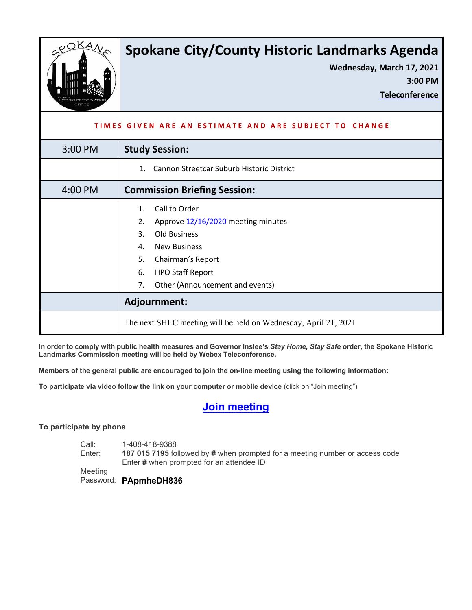

# **Spokane City/County Historic Landmarks Agenda**

**Wednesday, March 17, 2021**

**3:00 PM** 

**Teleconference**

| TIMES GIVEN ARE AN ESTIMATE AND ARE SUBJECT TO CHANGE |                                                                 |
|-------------------------------------------------------|-----------------------------------------------------------------|
| 3:00 PM                                               | <b>Study Session:</b>                                           |
|                                                       | Cannon Streetcar Suburb Historic District<br>$1_{\cdot}$        |
| 4:00 PM                                               | <b>Commission Briefing Session:</b>                             |
|                                                       | Call to Order<br>1.                                             |
|                                                       | Approve 12/16/2020 meeting minutes<br>2.                        |
|                                                       | <b>Old Business</b><br>3.                                       |
|                                                       | <b>New Business</b><br>4.                                       |
|                                                       | 5.<br>Chairman's Report                                         |
|                                                       | <b>HPO Staff Report</b><br>6.                                   |
|                                                       | Other (Announcement and events)<br>7.                           |
|                                                       | Adjournment:                                                    |
|                                                       | The next SHLC meeting will be held on Wednesday, April 21, 2021 |

**In order to comply with public health measures and Governor Inslee's** *Stay Home, Stay Safe* **order, the Spokane Historic Landmarks Commission meeting will be held by Webex Teleconference.**

**Members of the general public are encouraged to join the on-line meeting using the following information:**

**To participate via video follow the link on your computer or mobile device** (click on "Join meeting")

## **Join [meeting](https://spokanecity.webex.com/spokanecity/j.php?MTID=me41d382cfc3424dee201fd999af172ba)**

#### **To participate by phone**

Call: Enter: 1-408-418-9388 **187 015 7195** followed by **#** when prompted for a meeting number or access code Enter **#** when prompted for an attendee ID

Meeting

Password: **PApmheDH836**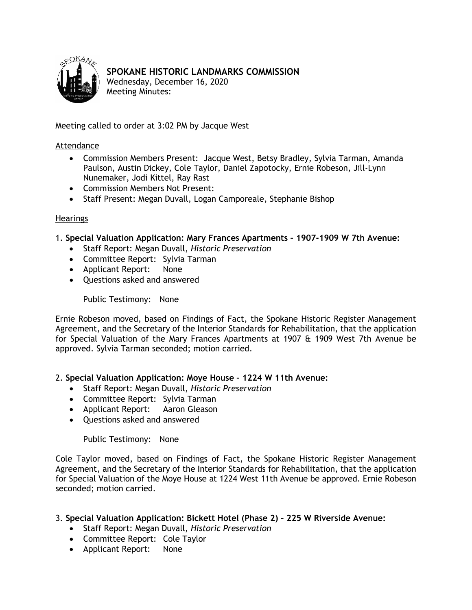<span id="page-1-0"></span>

## **SPOKANE HISTORIC LANDMARKS COMMISSION**

Wednesday, December 16, 2020 Meeting Minutes:

Meeting called to order at 3:02 PM by Jacque West

#### Attendance

- Commission Members Present: Jacque West, Betsy Bradley, Sylvia Tarman, Amanda Paulson, Austin Dickey, Cole Taylor, Daniel Zapotocky, Ernie Robeson, Jill-Lynn Nunemaker, Jodi Kittel, Ray Rast
- Commission Members Not Present:
- Staff Present: Megan Duvall, Logan Camporeale, Stephanie Bishop

#### Hearings

- 1. **Special Valuation Application: Mary Frances Apartments 1907-1909 W 7th Avenue:**
	- Staff Report: Megan Duvall, *Historic Preservation*
	- Committee Report: Sylvia Tarman
	- Applicant Report: None
	- Questions asked and answered

Public Testimony: None

Ernie Robeson moved, based on Findings of Fact, the Spokane Historic Register Management Agreement, and the Secretary of the Interior Standards for Rehabilitation, that the application for Special Valuation of the Mary Frances Apartments at 1907 & 1909 West 7th Avenue be approved. Sylvia Tarman seconded; motion carried.

### 2. **Special Valuation Application: Moye House – 1224 W 11th Avenue:**

- Staff Report: Megan Duvall, *Historic Preservation*
- Committee Report: Sylvia Tarman
- Applicant Report: Aaron Gleason
- Questions asked and answered

Public Testimony: None

Cole Taylor moved, based on Findings of Fact, the Spokane Historic Register Management Agreement, and the Secretary of the Interior Standards for Rehabilitation, that the application for Special Valuation of the Moye House at 1224 West 11th Avenue be approved. Ernie Robeson seconded; motion carried.

- 3. **Special Valuation Application: Bickett Hotel (Phase 2) 225 W Riverside Avenue:**
	- Staff Report: Megan Duvall, *Historic Preservation*
	- Committee Report: Cole Taylor
	- Applicant Report: None